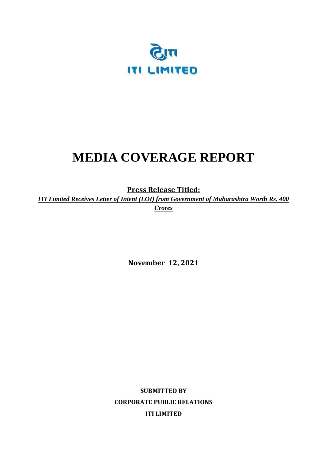

# **MEDIA COVERAGE REPORT**

**Press Release Titled:** 

*ITI Limited Receives Letter of Intent (LOI) from Government of Maharashtra Worth Rs. 400 Crores*

**November 12, 2021** 

**SUBMITTED BY CORPORATE PUBLIC RELATIONS ITI LIMITED**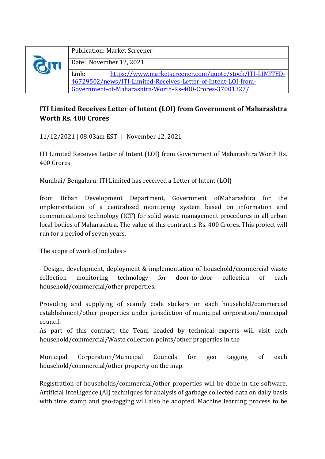|  | <b>Publication: Market Screener</b>                              |  |
|--|------------------------------------------------------------------|--|
|  | Date: November 12, 2021                                          |  |
|  | https://www.marketscreener.com/quote/stock/ITI-LIMITED-<br>Link: |  |
|  | 46729502/news/ITI-Limited-Receives-Letter-of-Intent-LOI-from-    |  |
|  | Government-of-Maharashtra-Worth-Rs-400-Crores-37001327/          |  |

# **ITI Limited Receives Letter of Intent (LOI) from Government of Maharashtra Worth Rs. 400 Crores**

11/12/2021 | 08:03am EST | November 12, 2021

ITI Limited Receives Letter of Intent (LOI) from Government of Maharashtra Worth Rs. 400 Crores

Mumbai/ Bengaluru: ITI Limited has received a Letter of Intent (LOI)

from Urban Development Department, Government ofMaharashtra for the implementation of a centralized monitoring system based on information and communications technology (ICT) for solid waste management procedures in all urban local bodies of Maharashtra. The value of this contract is Rs. 400 Crores. This project will run for a period of seven years.

The scope of work of includes:-

- Design, development, deployment & implementation of household/commercial waste collection monitoring technology for door-to-door collection of each household/commercial/other properties.

Providing and supplying of scanify code stickers on each household/commercial establishment/other properties under jurisdiction of municipal corporation/municipal council.

As part of this contract, the Team headed by technical experts will visit each household/commercial/Waste collection points/other properties in the

Municipal Corporation/Municipal Councils for geo tagging of each household/commercial/other property on the map.

Registration of households/commercial/other properties will be done in the software. Artificial Intelligence (AI) techniques for analysis of garbage collected data on daily basis with time stamp and geo-tagging will also be adopted. Machine learning process to be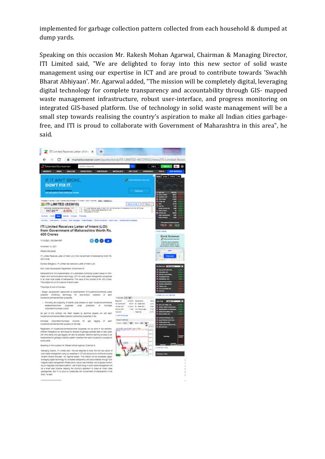implemented for garbage collection pattern collected from each household & dumped at dump yards.

Speaking on this occasion Mr. Rakesh Mohan Agarwal, Chairman & Managing Director, ITI Limited said, "We are delighted to foray into this new sector of solid waste management using our expertise in ICT and are proud to contribute towards 'Swachh Bharat Abhiyaan'. Mr. Agarwal added, "The mission will be completely digital, leveraging digital technology for complete transparency and accountability through GIS- mapped waste management infrastructure, robust user-interface, and progress monitoring on integrated GIS-based platform. Use of technology in solid waste management will be a small step towards realising the country's aspiration to make all Indian cities garbagefree, and ITI is proud to collaborate with Government of Maharashtra in this area", he said.

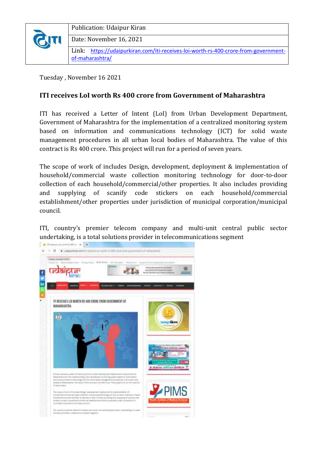

Publication: Udaipur Kiran

Date: November 16, 2021

Link: [https://udaipurkiran.com/iti-receives-loi-worth-rs-400-crore-from-government](https://udaipurkiran.com/iti-receives-loi-worth-rs-400-crore-from-government-of-maharashtra/)[of-maharashtra/](https://udaipurkiran.com/iti-receives-loi-worth-rs-400-crore-from-government-of-maharashtra/)

Tuesday , November 16 2021

#### **ITI receives LoI worth Rs 400 crore from Government of Maharashtra**

ITI has received a Letter of Intent (LoI) from Urban Development Department, Government of Maharashtra for the implementation of a centralized monitoring system based on information and communications technology (ICT) for solid waste management procedures in all urban local bodies of Maharashtra. The value of this contract is Rs 400 crore. This project will run for a period of seven years.

The scope of work of includes Design, development, deployment & implementation of household/commercial waste collection monitoring technology for door-to-door collection of each household/commercial/other properties. It also includes providing and supplying of scanify code stickers on each household/commercial establishment/other properties under jurisdiction of municipal corporation/municipal council.

ITI, country's premier telecom company and multi-unit central public sector undertaking, is a total solutions provider in telecommunications segment

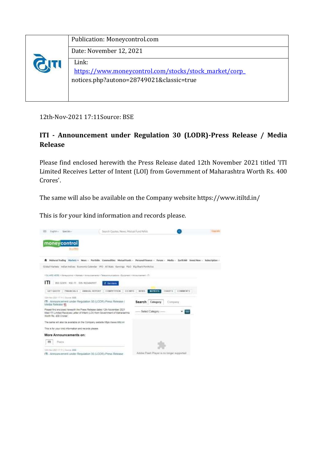|  | Publication: Moneycontrol.com                                                                               |
|--|-------------------------------------------------------------------------------------------------------------|
|  | Date: November 12, 2021                                                                                     |
|  | Link:<br>https://www.moneycontrol.com/stocks/stock_market/corp_<br>notices.php?autono=28749021&classic=true |

12th-Nov-2021 17:11Source: BSE

# **ITI - Announcement under Regulation 30 (LODR)-Press Release / Media Release**

Please find enclosed herewith the Press Release dated 12th November 2021 titled 'ITI Limited Receives Letter of Intent (LOI) from Government of Maharashtra Worth Rs. 400 Crores'.

The same will also be available on the Company website https://www.itiltd.in/

This is for your kind information and records please.

| Einglich un<br>Specials                                                                                                                                                               | Search Quotes: News, Mutual Fund NAVs     |                                         |                 |  |
|---------------------------------------------------------------------------------------------------------------------------------------------------------------------------------------|-------------------------------------------|-----------------------------------------|-----------------|--|
| moneycontrol<br><b>Bearing</b>                                                                                                                                                        |                                           |                                         |                 |  |
| The Muharat Trading Marlots v News - Portfolio Conventities Mutual Funds - Personal Finance - Forum - Media - Earth 360 Invest New - Indentiation -                                   |                                           |                                         |                 |  |
| Oldul Harieta Indian Indicas Comunic Calendar IPO All Stats Carmiga PGO Big Shark Portfolios                                                                                          |                                           |                                         |                 |  |
| FDUARD HERE / Viewasteren / Harkers / Avveutsements / Telecommunacions - Eculement / Annautsement / ITI                                                                               |                                           |                                         |                 |  |
| ITI<br>BEE: \$236%) INSELTTY IS IN INEDUCATION                                                                                                                                        | <b>E</b> Salvania                         |                                         |                 |  |
| GET QUOTE<br>FIMARCIAL 1<br>AMMUAL REPORT                                                                                                                                             | <b>COMPETITION</b><br><b>CD INFO</b>      | <b>NUTICES</b><br><b>REWS</b><br>CHARTS | <b>COMMENTS</b> |  |
| (20-yay-202) 17:5   Suune, BBE                                                                                                                                                        |                                           |                                         |                 |  |
| ITI - Announcement under Regulation 30 (LOCR)-Press Release /<br>Media Release 10                                                                                                     |                                           | Search Category                         | Company         |  |
| Please find enclosed herewith the Press Release dated 12th November 2021<br>Ubid 1TI Limited Receives Letter of Intern (LDI) from Government of Manarashira<br>Worth Ro. 400 Crores": |                                           | Select Category ------                  | GO              |  |
| The same will also be available on the Company website https://www.fbbb.in/                                                                                                           |                                           |                                         |                 |  |
| This is for your kind information and records please.                                                                                                                                 |                                           |                                         |                 |  |
| More Announcements on:                                                                                                                                                                |                                           |                                         |                 |  |
| $\left\vert \cdot \right\rangle$<br>Poste                                                                                                                                             |                                           |                                         |                 |  |
| Glenwoldtritt   Swing ###                                                                                                                                                             |                                           |                                         |                 |  |
| (T) - Announcement under Requiation 30 (LOCR)-Press Release                                                                                                                           | Addie Flash Player is no longer supported |                                         |                 |  |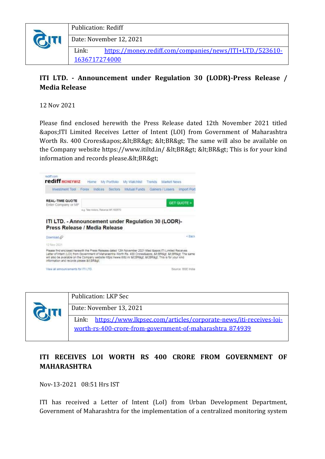

### **ITI LTD. - Announcement under Regulation 30 (LODR)-Press Release / Media Release**

12 Nov 2021

Please find enclosed herewith the Press Release dated 12th November 2021 titled 'ITI Limited Receives Letter of Intent (LOI) from Government of Maharashtra Worth Rs. 400 Crores'.<BR&gt; &lt;BR&gt; The same will also be available on the Company website https://www.itiltd.in/ <BR&gt; &lt;BR&gt; This is for your kind information and records please.<BR&gt;





### **ITI RECEIVES LOI WORTH RS 400 CRORE FROM GOVERNMENT OF MAHARASHTRA**

Nov-13-2021 08:51 Hrs IST

ITI has received a Letter of Intent (LoI) from Urban Development Department, Government of Maharashtra for the implementation of a centralized monitoring system